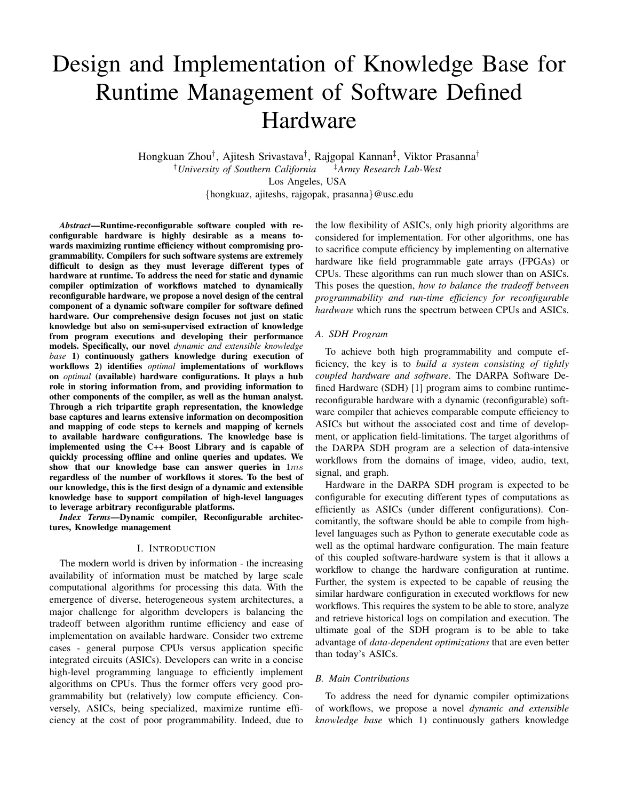# Design and Implementation of Knowledge Base for Runtime Management of Software Defined Hardware

Hongkuan Zhou† , Ajitesh Srivastava† , Rajgopal Kannan‡ , Viktor Prasanna† †*University of Southern California* ‡*Army Research Lab-West* Los Angeles, USA {hongkuaz, ajiteshs, rajgopak, prasanna}@usc.edu

*Abstract*—Runtime-reconfigurable software coupled with reconfigurable hardware is highly desirable as a means towards maximizing runtime efficiency without compromising programmability. Compilers for such software systems are extremely difficult to design as they must leverage different types of hardware at runtime. To address the need for static and dynamic compiler optimization of workflows matched to dynamically reconfigurable hardware, we propose a novel design of the central component of a dynamic software compiler for software defined hardware. Our comprehensive design focuses not just on static knowledge but also on semi-supervised extraction of knowledge from program executions and developing their performance models. Specifically, our novel *dynamic and extensible knowledge base* 1) continuously gathers knowledge during execution of workflows 2) identifies *optimal* implementations of workflows on *optimal* (available) hardware configurations. It plays a hub role in storing information from, and providing information to other components of the compiler, as well as the human analyst. Through a rich tripartite graph representation, the knowledge base captures and learns extensive information on decomposition and mapping of code steps to kernels and mapping of kernels to available hardware configurations. The knowledge base is implemented using the C++ Boost Library and is capable of quickly processing offline and online queries and updates. We show that our knowledge base can answer queries in 1ms regardless of the number of workflows it stores. To the best of our knowledge, this is the first design of a dynamic and extensible knowledge base to support compilation of high-level languages to leverage arbitrary reconfigurable platforms.

*Index Terms*—Dynamic compiler, Reconfigurable architectures, Knowledge management

## I. INTRODUCTION

The modern world is driven by information - the increasing availability of information must be matched by large scale computational algorithms for processing this data. With the emergence of diverse, heterogeneous system architectures, a major challenge for algorithm developers is balancing the tradeoff between algorithm runtime efficiency and ease of implementation on available hardware. Consider two extreme cases - general purpose CPUs versus application specific integrated circuits (ASICs). Developers can write in a concise high-level programming language to efficiently implement algorithms on CPUs. Thus the former offers very good programmability but (relatively) low compute efficiency. Conversely, ASICs, being specialized, maximize runtime efficiency at the cost of poor programmability. Indeed, due to

the low flexibility of ASICs, only high priority algorithms are considered for implementation. For other algorithms, one has to sacrifice compute efficiency by implementing on alternative hardware like field programmable gate arrays (FPGAs) or CPUs. These algorithms can run much slower than on ASICs. This poses the question, *how to balance the tradeoff between programmability and run-time efficiency for reconfigurable hardware* which runs the spectrum between CPUs and ASICs.

## *A. SDH Program*

To achieve both high programmability and compute efficiency, the key is to *build a system consisting of tightly coupled hardware and software*. The DARPA Software Defined Hardware (SDH) [1] program aims to combine runtimereconfigurable hardware with a dynamic (reconfigurable) software compiler that achieves comparable compute efficiency to ASICs but without the associated cost and time of development, or application field-limitations. The target algorithms of the DARPA SDH program are a selection of data-intensive workflows from the domains of image, video, audio, text, signal, and graph.

Hardware in the DARPA SDH program is expected to be configurable for executing different types of computations as efficiently as ASICs (under different configurations). Concomitantly, the software should be able to compile from highlevel languages such as Python to generate executable code as well as the optimal hardware configuration. The main feature of this coupled software-hardware system is that it allows a workflow to change the hardware configuration at runtime. Further, the system is expected to be capable of reusing the similar hardware configuration in executed workflows for new workflows. This requires the system to be able to store, analyze and retrieve historical logs on compilation and execution. The ultimate goal of the SDH program is to be able to take advantage of *data-dependent optimizations* that are even better than today's ASICs.

#### *B. Main Contributions*

To address the need for dynamic compiler optimizations of workflows, we propose a novel *dynamic and extensible knowledge base* which 1) continuously gathers knowledge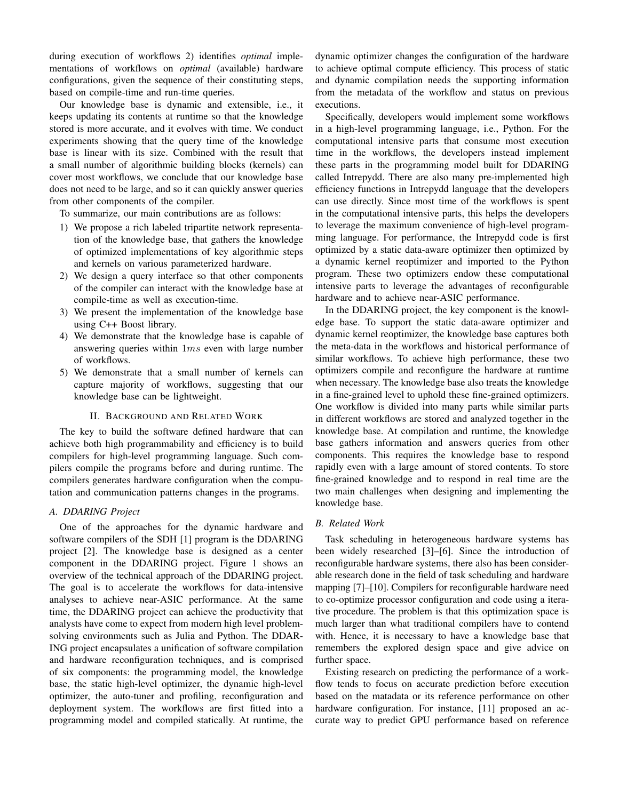during execution of workflows 2) identifies *optimal* implementations of workflows on *optimal* (available) hardware configurations, given the sequence of their constituting steps, based on compile-time and run-time queries.

Our knowledge base is dynamic and extensible, i.e., it keeps updating its contents at runtime so that the knowledge stored is more accurate, and it evolves with time. We conduct experiments showing that the query time of the knowledge base is linear with its size. Combined with the result that a small number of algorithmic building blocks (kernels) can cover most workflows, we conclude that our knowledge base does not need to be large, and so it can quickly answer queries from other components of the compiler.

To summarize, our main contributions are as follows:

- 1) We propose a rich labeled tripartite network representation of the knowledge base, that gathers the knowledge of optimized implementations of key algorithmic steps and kernels on various parameterized hardware.
- 2) We design a query interface so that other components of the compiler can interact with the knowledge base at compile-time as well as execution-time.
- 3) We present the implementation of the knowledge base using C++ Boost library.
- 4) We demonstrate that the knowledge base is capable of answering queries within  $1ms$  even with large number of workflows.
- 5) We demonstrate that a small number of kernels can capture majority of workflows, suggesting that our knowledge base can be lightweight.

## II. BACKGROUND AND RELATED WORK

The key to build the software defined hardware that can achieve both high programmability and efficiency is to build compilers for high-level programming language. Such compilers compile the programs before and during runtime. The compilers generates hardware configuration when the computation and communication patterns changes in the programs.

## *A. DDARING Project*

One of the approaches for the dynamic hardware and software compilers of the SDH [1] program is the DDARING project [2]. The knowledge base is designed as a center component in the DDARING project. Figure 1 shows an overview of the technical approach of the DDARING project. The goal is to accelerate the workflows for data-intensive analyses to achieve near-ASIC performance. At the same time, the DDARING project can achieve the productivity that analysts have come to expect from modern high level problemsolving environments such as Julia and Python. The DDAR-ING project encapsulates a unification of software compilation and hardware reconfiguration techniques, and is comprised of six components: the programming model, the knowledge base, the static high-level optimizer, the dynamic high-level optimizer, the auto-tuner and profiling, reconfiguration and deployment system. The workflows are first fitted into a programming model and compiled statically. At runtime, the dynamic optimizer changes the configuration of the hardware to achieve optimal compute efficiency. This process of static and dynamic compilation needs the supporting information from the metadata of the workflow and status on previous executions.

Specifically, developers would implement some workflows in a high-level programming language, i.e., Python. For the computational intensive parts that consume most execution time in the workflows, the developers instead implement these parts in the programming model built for DDARING called Intrepydd. There are also many pre-implemented high efficiency functions in Intrepydd language that the developers can use directly. Since most time of the workflows is spent in the computational intensive parts, this helps the developers to leverage the maximum convenience of high-level programming language. For performance, the Intrepydd code is first optimized by a static data-aware optimizer then optimized by a dynamic kernel reoptimizer and imported to the Python program. These two optimizers endow these computational intensive parts to leverage the advantages of reconfigurable hardware and to achieve near-ASIC performance.

In the DDARING project, the key component is the knowledge base. To support the static data-aware optimizer and dynamic kernel reoptimizer, the knowledge base captures both the meta-data in the workflows and historical performance of similar workflows. To achieve high performance, these two optimizers compile and reconfigure the hardware at runtime when necessary. The knowledge base also treats the knowledge in a fine-grained level to uphold these fine-grained optimizers. One workflow is divided into many parts while similar parts in different workflows are stored and analyzed together in the knowledge base. At compilation and runtime, the knowledge base gathers information and answers queries from other components. This requires the knowledge base to respond rapidly even with a large amount of stored contents. To store fine-grained knowledge and to respond in real time are the two main challenges when designing and implementing the knowledge base.

# *B. Related Work*

Task scheduling in heterogeneous hardware systems has been widely researched [3]–[6]. Since the introduction of reconfigurable hardware systems, there also has been considerable research done in the field of task scheduling and hardware mapping [7]–[10]. Compilers for reconfigurable hardware need to co-optimize processor configuration and code using a iterative procedure. The problem is that this optimization space is much larger than what traditional compilers have to contend with. Hence, it is necessary to have a knowledge base that remembers the explored design space and give advice on further space.

Existing research on predicting the performance of a workflow tends to focus on accurate prediction before execution based on the matadata or its reference performance on other hardware configuration. For instance, [11] proposed an accurate way to predict GPU performance based on reference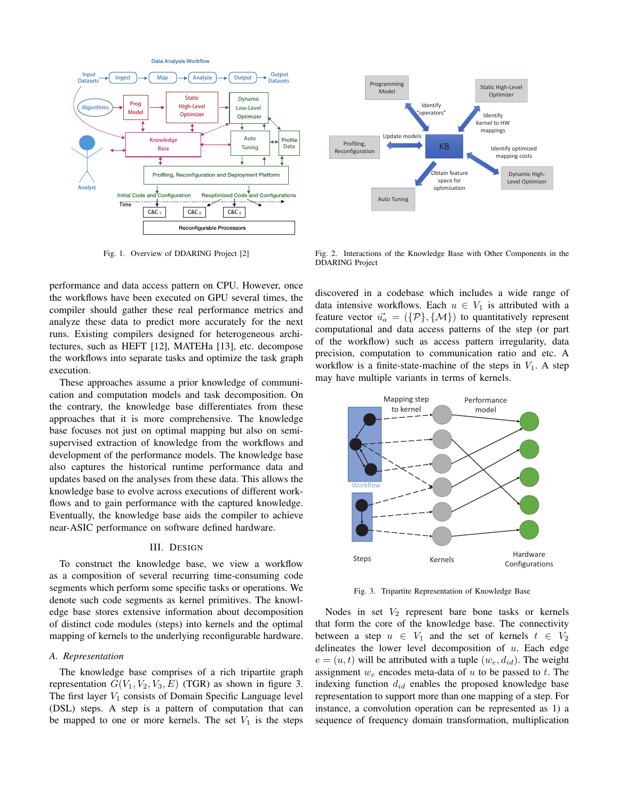

Fig. 1. Overview of DDARING Project [2]



Fig. 2. Interactions of the Knowledge Base with Other Components in the DDARING Project

performance and data access pattern on CPU. However, once the workflows have been executed on GPU several times, the compiler should gather these real performance metrics and analyze these data to predict more accurately for the next runs. Existing compilers designed for heterogeneous architectures, such as HEFT [12], MATEHa [13], etc. decompose the workflows into separate tasks and optimize the task graph execution.

These approaches assume a prior knowledge of communication and computation models and task decomposition. On the contrary, the knowledge base differentiates from these approaches that it is more comprehensive. The knowledge base focuses not just on optimal mapping but also on semisupervised extraction of knowledge from the workflows and development of the performance models. The knowledge base also captures the historical runtime performance data and updates based on the analyses from these data. This allows the knowledge base to evolve across executions of different workflows and to gain performance with the captured knowledge. Eventually, the knowledge base aids the compiler to achieve near-ASIC performance on software defined hardware.

## III. DESIGN

To construct the knowledge base, we view a workflow as a composition of several recurring time-consuming code segments which perform some specific tasks or operations. We denote such code segments as kernel primitives. The knowledge base stores extensive information about decomposition of distinct code modules (steps) into kernels and the optimal mapping of kernels to the underlying reconfigurable hardware.

## *A. Representation*

The knowledge base comprises of a rich tripartite graph representation  $G(V_1, V_2, V_3, E)$  (TGR) as shown in figure 3. The first layer  $V_1$  consists of Domain Specific Language level (DSL) steps. A step is a pattern of computation that can be mapped to one or more kernels. The set  $V_1$  is the steps discovered in a codebase which includes a wide range of data intensive workflows. Each  $u \in V_1$  is attributed with a feature vector  $\vec{u}_a = (\{\mathcal{P}\}, \{\mathcal{M}\})$  to quantitatively represent computational and data access patterns of the step (or part of the workflow) such as access pattern irregularity, data precision, computation to communication ratio and etc. A workflow is a finite-state-machine of the steps in  $V_1$ . A step may have multiple variants in terms of kernels.



Fig. 3. Tripartite Representation of Knowledge Base

Nodes in set  $V_2$  represent bare bone tasks or kernels that form the core of the knowledge base. The connectivity between a step  $u \in V_1$  and the set of kernels  $t \in V_2$ delineates the lower level decomposition of  $u$ . Each edge  $e = (u, t)$  will be attributed with a tuple  $(w_e, d_{id})$ . The weight assignment  $w_e$  encodes meta-data of  $u$  to be passed to  $t$ . The indexing function  $d_{id}$  enables the proposed knowledge base representation to support more than one mapping of a step. For instance, a convolution operation can be represented as 1) a sequence of frequency domain transformation, multiplication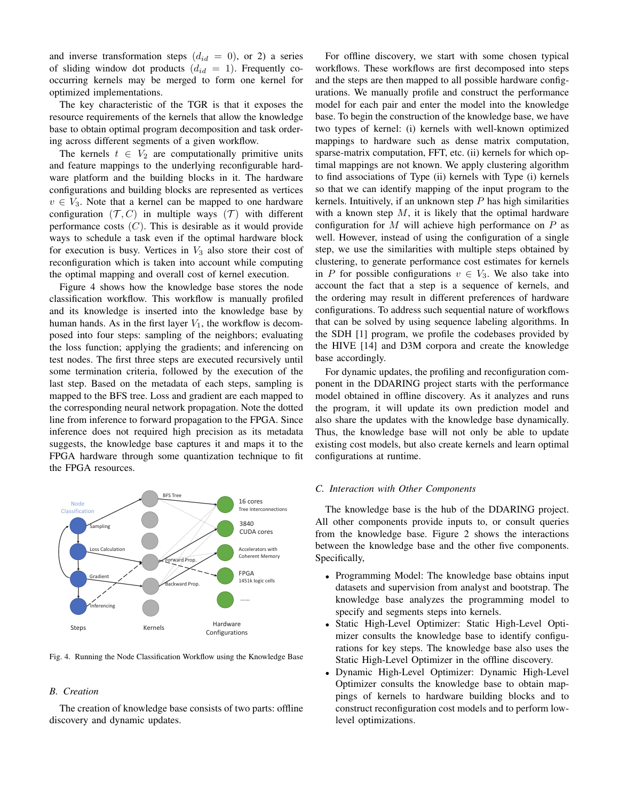and inverse transformation steps  $(d_{id} = 0)$ , or 2) a series of sliding window dot products  $(d_{id} = 1)$ . Frequently cooccurring kernels may be merged to form one kernel for optimized implementations.

The key characteristic of the TGR is that it exposes the resource requirements of the kernels that allow the knowledge base to obtain optimal program decomposition and task ordering across different segments of a given workflow.

The kernels  $t \in V_2$  are computationally primitive units and feature mappings to the underlying reconfigurable hardware platform and the building blocks in it. The hardware configurations and building blocks are represented as vertices  $v \in V_3$ . Note that a kernel can be mapped to one hardware configuration  $(\mathcal{T}, C)$  in multiple ways  $(\mathcal{T})$  with different performance costs  $(C)$ . This is desirable as it would provide ways to schedule a task even if the optimal hardware block for execution is busy. Vertices in  $V_3$  also store their cost of reconfiguration which is taken into account while computing the optimal mapping and overall cost of kernel execution.

Figure 4 shows how the knowledge base stores the node classification workflow. This workflow is manually profiled and its knowledge is inserted into the knowledge base by human hands. As in the first layer  $V_1$ , the workflow is decomposed into four steps: sampling of the neighbors; evaluating the loss function; applying the gradients; and inferencing on test nodes. The first three steps are executed recursively until some termination criteria, followed by the execution of the last step. Based on the metadata of each steps, sampling is mapped to the BFS tree. Loss and gradient are each mapped to the corresponding neural network propagation. Note the dotted line from inference to forward propagation to the FPGA. Since inference does not required high precision as its metadata suggests, the knowledge base captures it and maps it to the FPGA hardware through some quantization technique to fit the FPGA resources.



Fig. 4. Running the Node Classification Workflow using the Knowledge Base

## *B. Creation*

The creation of knowledge base consists of two parts: offline discovery and dynamic updates.

For offline discovery, we start with some chosen typical workflows. These workflows are first decomposed into steps and the steps are then mapped to all possible hardware configurations. We manually profile and construct the performance model for each pair and enter the model into the knowledge base. To begin the construction of the knowledge base, we have two types of kernel: (i) kernels with well-known optimized mappings to hardware such as dense matrix computation, sparse-matrix computation, FFT, etc. (ii) kernels for which optimal mappings are not known. We apply clustering algorithm to find associations of Type (ii) kernels with Type (i) kernels so that we can identify mapping of the input program to the kernels. Intuitively, if an unknown step  $P$  has high similarities with a known step  $M$ , it is likely that the optimal hardware configuration for M will achieve high performance on  $P$  as well. However, instead of using the configuration of a single step, we use the similarities with multiple steps obtained by clustering, to generate performance cost estimates for kernels in P for possible configurations  $v \in V_3$ . We also take into account the fact that a step is a sequence of kernels, and the ordering may result in different preferences of hardware configurations. To address such sequential nature of workflows that can be solved by using sequence labeling algorithms. In the SDH [1] program, we profile the codebases provided by the HIVE [14] and D3M corpora and create the knowledge base accordingly.

For dynamic updates, the profiling and reconfiguration component in the DDARING project starts with the performance model obtained in offline discovery. As it analyzes and runs the program, it will update its own prediction model and also share the updates with the knowledge base dynamically. Thus, the knowledge base will not only be able to update existing cost models, but also create kernels and learn optimal configurations at runtime.

#### *C. Interaction with Other Components*

The knowledge base is the hub of the DDARING project. All other components provide inputs to, or consult queries from the knowledge base. Figure 2 shows the interactions between the knowledge base and the other five components. Specifically,

- Programming Model: The knowledge base obtains input datasets and supervision from analyst and bootstrap. The knowledge base analyzes the programming model to specify and segments steps into kernels.
- Static High-Level Optimizer: Static High-Level Optimizer consults the knowledge base to identify configurations for key steps. The knowledge base also uses the Static High-Level Optimizer in the offline discovery.
- Dynamic High-Level Optimizer: Dynamic High-Level Optimizer consults the knowledge base to obtain mappings of kernels to hardware building blocks and to construct reconfiguration cost models and to perform lowlevel optimizations.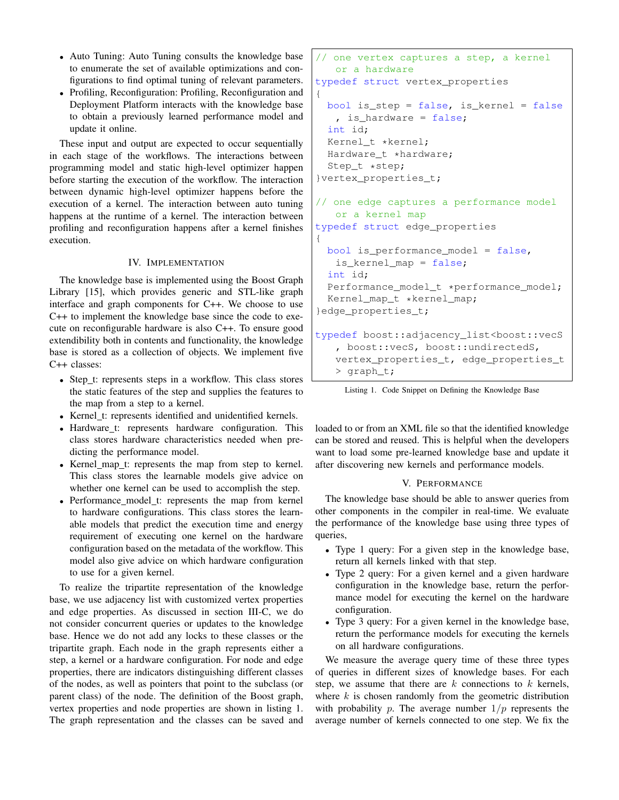- Auto Tuning: Auto Tuning consults the knowledge base to enumerate the set of available optimizations and configurations to find optimal tuning of relevant parameters.
- Profiling, Reconfiguration: Profiling, Reconfiguration and Deployment Platform interacts with the knowledge base to obtain a previously learned performance model and update it online.

These input and output are expected to occur sequentially in each stage of the workflows. The interactions between programming model and static high-level optimizer happen before starting the execution of the workflow. The interaction between dynamic high-level optimizer happens before the execution of a kernel. The interaction between auto tuning happens at the runtime of a kernel. The interaction between profiling and reconfiguration happens after a kernel finishes execution.

## IV. IMPLEMENTATION

The knowledge base is implemented using the Boost Graph Library [15], which provides generic and STL-like graph interface and graph components for C++. We choose to use C++ to implement the knowledge base since the code to execute on reconfigurable hardware is also C++. To ensure good extendibility both in contents and functionality, the knowledge base is stored as a collection of objects. We implement five C++ classes:

- Step t: represents steps in a workflow. This class stores the static features of the step and supplies the features to the map from a step to a kernel.
- Kernel t: represents identified and unidentified kernels.
- Hardware\_t: represents hardware configuration. This class stores hardware characteristics needed when predicting the performance model.
- Kernel\_map\_t: represents the map from step to kernel. This class stores the learnable models give advice on whether one kernel can be used to accomplish the step.
- Performance\_model\_t: represents the map from kernel to hardware configurations. This class stores the learnable models that predict the execution time and energy requirement of executing one kernel on the hardware configuration based on the metadata of the workflow. This model also give advice on which hardware configuration to use for a given kernel.

To realize the tripartite representation of the knowledge base, we use adjacency list with customized vertex properties and edge properties. As discussed in section III-C, we do not consider concurrent queries or updates to the knowledge base. Hence we do not add any locks to these classes or the tripartite graph. Each node in the graph represents either a step, a kernel or a hardware configuration. For node and edge properties, there are indicators distinguishing different classes of the nodes, as well as pointers that point to the subclass (or parent class) of the node. The definition of the Boost graph, vertex properties and node properties are shown in listing 1. The graph representation and the classes can be saved and

```
// one vertex captures a step, a kernel
   or a hardware
typedef struct vertex_properties
{
 bool is_step = false, is_kernel = false
   , is_hardware = false;
  int id;
 Kernel_t *kernel;
 Hardware_t *hardware;
  Step_t *step;
}vertex_properties_t;
// one edge captures a performance model
   or a kernel map
typedef struct edge_properties
{
 bool is_performance_model = false,
   is_kernel_map = false;
  int id;
  Performance_model_t *performance_model;
  Kernel_map_t *kernel_map;
}edge_properties_t;
typedef boost::adjacency_list<boost::vecS
   , boost::vecS, boost::undirectedS,
   vertex_properties_t, edge_properties_t
   > graph_t;
```
Listing 1. Code Snippet on Defining the Knowledge Base

loaded to or from an XML file so that the identified knowledge can be stored and reused. This is helpful when the developers want to load some pre-learned knowledge base and update it after discovering new kernels and performance models.

# V. PERFORMANCE

The knowledge base should be able to answer queries from other components in the compiler in real-time. We evaluate the performance of the knowledge base using three types of queries,

- Type 1 query: For a given step in the knowledge base, return all kernels linked with that step.
- Type 2 query: For a given kernel and a given hardware configuration in the knowledge base, return the performance model for executing the kernel on the hardware configuration.
- Type 3 query: For a given kernel in the knowledge base, return the performance models for executing the kernels on all hardware configurations.

We measure the average query time of these three types of queries in different sizes of knowledge bases. For each step, we assume that there are  $k$  connections to  $k$  kernels, where  $k$  is chosen randomly from the geometric distribution with probability p. The average number  $1/p$  represents the average number of kernels connected to one step. We fix the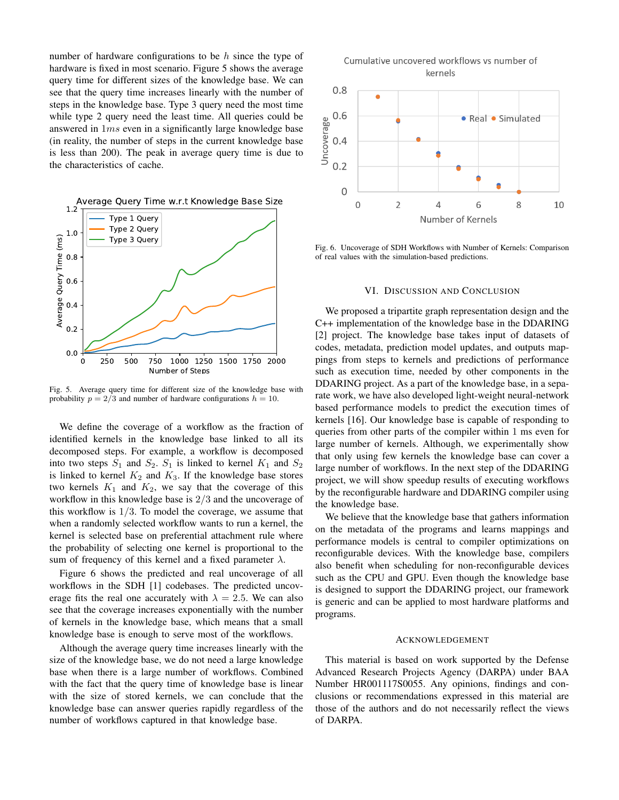number of hardware configurations to be  $h$  since the type of hardware is fixed in most scenario. Figure 5 shows the average query time for different sizes of the knowledge base. We can see that the query time increases linearly with the number of steps in the knowledge base. Type 3 query need the most time while type 2 query need the least time. All queries could be answered in 1ms even in a significantly large knowledge base (in reality, the number of steps in the current knowledge base is less than 200). The peak in average query time is due to the characteristics of cache.



Fig. 5. Average query time for different size of the knowledge base with probability  $p = 2/3$  and number of hardware configurations  $h = 10$ .

We define the coverage of a workflow as the fraction of identified kernels in the knowledge base linked to all its decomposed steps. For example, a workflow is decomposed into two steps  $S_1$  and  $S_2$ .  $S_1$  is linked to kernel  $K_1$  and  $S_2$ is linked to kernel  $K_2$  and  $K_3$ . If the knowledge base stores two kernels  $K_1$  and  $K_2$ , we say that the coverage of this workflow in this knowledge base is 2/3 and the uncoverage of this workflow is  $1/3$ . To model the coverage, we assume that when a randomly selected workflow wants to run a kernel, the kernel is selected base on preferential attachment rule where the probability of selecting one kernel is proportional to the sum of frequency of this kernel and a fixed parameter  $\lambda$ .

Figure 6 shows the predicted and real uncoverage of all workflows in the SDH [1] codebases. The predicted uncoverage fits the real one accurately with  $\lambda = 2.5$ . We can also see that the coverage increases exponentially with the number of kernels in the knowledge base, which means that a small knowledge base is enough to serve most of the workflows.

Although the average query time increases linearly with the size of the knowledge base, we do not need a large knowledge base when there is a large number of workflows. Combined with the fact that the query time of knowledge base is linear with the size of stored kernels, we can conclude that the knowledge base can answer queries rapidly regardless of the number of workflows captured in that knowledge base.





Fig. 6. Uncoverage of SDH Workflows with Number of Kernels: Comparison of real values with the simulation-based predictions.

## VI. DISCUSSION AND CONCLUSION

We proposed a tripartite graph representation design and the C++ implementation of the knowledge base in the DDARING [2] project. The knowledge base takes input of datasets of codes, metadata, prediction model updates, and outputs mappings from steps to kernels and predictions of performance such as execution time, needed by other components in the DDARING project. As a part of the knowledge base, in a separate work, we have also developed light-weight neural-network based performance models to predict the execution times of kernels [16]. Our knowledge base is capable of responding to queries from other parts of the compiler within 1 ms even for large number of kernels. Although, we experimentally show that only using few kernels the knowledge base can cover a large number of workflows. In the next step of the DDARING project, we will show speedup results of executing workflows by the reconfigurable hardware and DDARING compiler using the knowledge base.

We believe that the knowledge base that gathers information on the metadata of the programs and learns mappings and performance models is central to compiler optimizations on reconfigurable devices. With the knowledge base, compilers also benefit when scheduling for non-reconfigurable devices such as the CPU and GPU. Even though the knowledge base is designed to support the DDARING project, our framework is generic and can be applied to most hardware platforms and programs.

#### ACKNOWLEDGEMENT

This material is based on work supported by the Defense Advanced Research Projects Agency (DARPA) under BAA Number HR001117S0055. Any opinions, findings and conclusions or recommendations expressed in this material are those of the authors and do not necessarily reflect the views of DARPA.